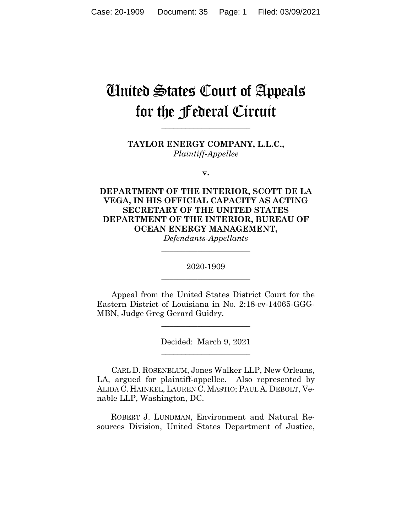# United States Court of Appeals for the Federal Circuit

**TAYLOR ENERGY COMPANY, L.L.C.,** *Plaintiff-Appellee*

**\_\_\_\_\_\_\_\_\_\_\_\_\_\_\_\_\_\_\_\_\_\_**

**v.**

**DEPARTMENT OF THE INTERIOR, SCOTT DE LA VEGA, IN HIS OFFICIAL CAPACITY AS ACTING SECRETARY OF THE UNITED STATES DEPARTMENT OF THE INTERIOR, BUREAU OF OCEAN ENERGY MANAGEMENT,**

*Defendants-Appellants* **\_\_\_\_\_\_\_\_\_\_\_\_\_\_\_\_\_\_\_\_\_\_**

2020-1909 **\_\_\_\_\_\_\_\_\_\_\_\_\_\_\_\_\_\_\_\_\_\_**

Appeal from the United States District Court for the Eastern District of Louisiana in No. 2:18-cv-14065-GGG-MBN, Judge Greg Gerard Guidry.

> Decided: March 9, 2021 \_\_\_\_\_\_\_\_\_\_\_\_\_\_\_\_\_\_\_\_\_\_

\_\_\_\_\_\_\_\_\_\_\_\_\_\_\_\_\_\_\_\_\_\_

CARL D. ROSENBLUM, Jones Walker LLP, New Orleans, LA, argued for plaintiff-appellee. Also represented by ALIDA C. HAINKEL, LAUREN C. MASTIO; PAUL A. DEBOLT, Venable LLP, Washington, DC.

 ROBERT J. LUNDMAN, Environment and Natural Resources Division, United States Department of Justice,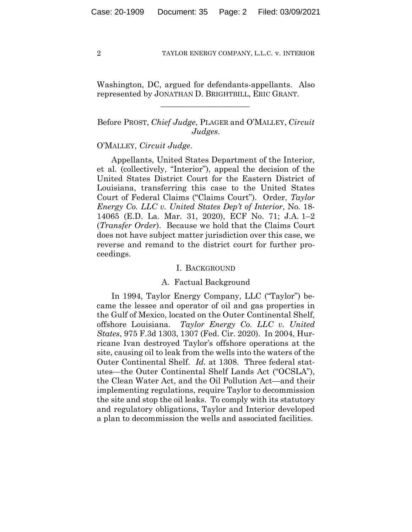Washington, DC, argued for defendants-appellants. Also represented by JONATHAN D. BRIGHTBILL, ERIC GRANT.

 $\mathcal{L}_\text{max}$  and  $\mathcal{L}_\text{max}$  and  $\mathcal{L}_\text{max}$  and  $\mathcal{L}_\text{max}$ 

# Before PROST, *Chief Judge*, PLAGER and O'MALLEY, *Circuit Judges*.

### O'MALLEY, *Circuit Judge*.

Appellants, United States Department of the Interior, et al. (collectively, "Interior"), appeal the decision of the United States District Court for the Eastern District of Louisiana, transferring this case to the United States Court of Federal Claims ("Claims Court"). Order, *Taylor Energy Co. LLC v. United States Dep't of Interior*, No. 18- 14065 (E.D. La. Mar. 31, 2020), ECF No. 71; J.A. 1–2 (*Transfer Order*). Because we hold that the Claims Court does not have subject matter jurisdiction over this case, we reverse and remand to the district court for further proceedings.

## I. BACKGROUND

## A. Factual Background

In 1994, Taylor Energy Company, LLC ("Taylor") became the lessee and operator of oil and gas properties in the Gulf of Mexico, located on the Outer Continental Shelf, offshore Louisiana. *Taylor Energy Co. LLC v. United States*, 975 F.3d 1303, 1307 (Fed. Cir. 2020). In 2004, Hurricane Ivan destroyed Taylor's offshore operations at the site, causing oil to leak from the wells into the waters of the Outer Continental Shelf. *Id.* at 1308. Three federal statutes—the Outer Continental Shelf Lands Act ("OCSLA"), the Clean Water Act, and the Oil Pollution Act—and their implementing regulations, require Taylor to decommission the site and stop the oil leaks. To comply with its statutory and regulatory obligations, Taylor and Interior developed a plan to decommission the wells and associated facilities.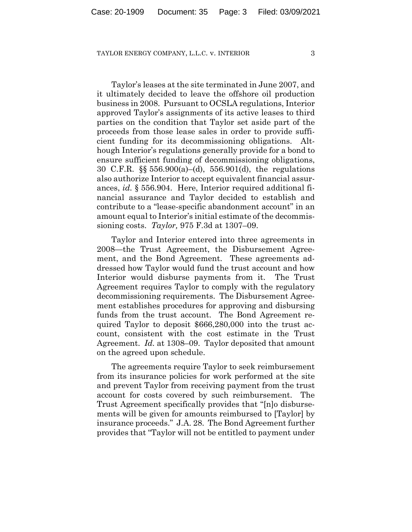Taylor's leases at the site terminated in June 2007, and it ultimately decided to leave the offshore oil production business in 2008. Pursuant to OCSLA regulations, Interior approved Taylor's assignments of its active leases to third parties on the condition that Taylor set aside part of the proceeds from those lease sales in order to provide sufficient funding for its decommissioning obligations. Although Interior's regulations generally provide for a bond to ensure sufficient funding of decommissioning obligations, 30 C.F.R. §§ 556.900(a)–(d), 556.901(d), the regulations also authorize Interior to accept equivalent financial assurances, *id.* § 556.904. Here, Interior required additional financial assurance and Taylor decided to establish and contribute to a "lease-specific abandonment account" in an amount equal to Interior's initial estimate of the decommissioning costs. *Taylor,* 975 F.3d at 1307–09.

Taylor and Interior entered into three agreements in 2008—the Trust Agreement, the Disbursement Agreement, and the Bond Agreement. These agreements addressed how Taylor would fund the trust account and how Interior would disburse payments from it. The Trust Agreement requires Taylor to comply with the regulatory decommissioning requirements. The Disbursement Agreement establishes procedures for approving and disbursing funds from the trust account. The Bond Agreement required Taylor to deposit \$666,280,000 into the trust account, consistent with the cost estimate in the Trust Agreement. *Id.* at 1308–09. Taylor deposited that amount on the agreed upon schedule.

The agreements require Taylor to seek reimbursement from its insurance policies for work performed at the site and prevent Taylor from receiving payment from the trust account for costs covered by such reimbursement. The Trust Agreement specifically provides that "[n]o disbursements will be given for amounts reimbursed to [Taylor] by insurance proceeds." J.A. 28. The Bond Agreement further provides that "Taylor will not be entitled to payment under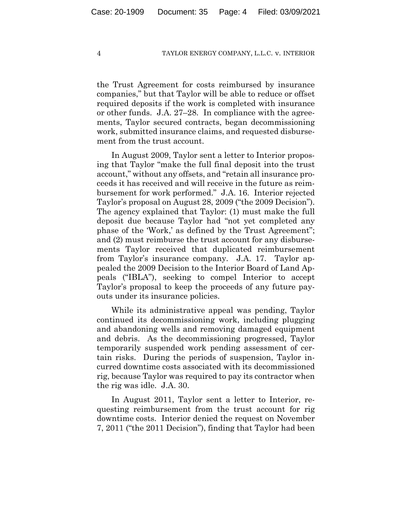the Trust Agreement for costs reimbursed by insurance companies," but that Taylor will be able to reduce or offset required deposits if the work is completed with insurance or other funds. J.A. 27–28. In compliance with the agreements, Taylor secured contracts, began decommissioning work, submitted insurance claims, and requested disbursement from the trust account.

In August 2009, Taylor sent a letter to Interior proposing that Taylor "make the full final deposit into the trust account," without any offsets, and "retain all insurance proceeds it has received and will receive in the future as reimbursement for work performed." J.A. 16. Interior rejected Taylor's proposal on August 28, 2009 ("the 2009 Decision"). The agency explained that Taylor: (1) must make the full deposit due because Taylor had "not yet completed any phase of the 'Work,' as defined by the Trust Agreement"; and (2) must reimburse the trust account for any disbursements Taylor received that duplicated reimbursement from Taylor's insurance company. J.A. 17. Taylor appealed the 2009 Decision to the Interior Board of Land Appeals ("IBLA"), seeking to compel Interior to accept Taylor's proposal to keep the proceeds of any future payouts under its insurance policies.

While its administrative appeal was pending, Taylor continued its decommissioning work, including plugging and abandoning wells and removing damaged equipment and debris. As the decommissioning progressed, Taylor temporarily suspended work pending assessment of certain risks. During the periods of suspension, Taylor incurred downtime costs associated with its decommissioned rig, because Taylor was required to pay its contractor when the rig was idle. J.A. 30.

In August 2011, Taylor sent a letter to Interior, requesting reimbursement from the trust account for rig downtime costs. Interior denied the request on November 7, 2011 ("the 2011 Decision"), finding that Taylor had been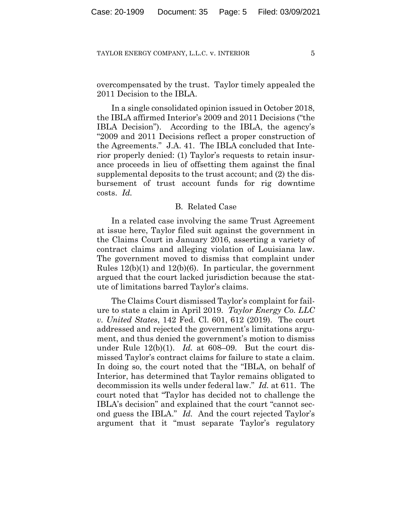overcompensated by the trust. Taylor timely appealed the 2011 Decision to the IBLA.

In a single consolidated opinion issued in October 2018, the IBLA affirmed Interior's 2009 and 2011 Decisions ("the IBLA Decision"). According to the IBLA, the agency's "2009 and 2011 Decisions reflect a proper construction of the Agreements." J.A. 41. The IBLA concluded that Interior properly denied: (1) Taylor's requests to retain insurance proceeds in lieu of offsetting them against the final supplemental deposits to the trust account; and (2) the disbursement of trust account funds for rig downtime costs. *Id.*

## B. Related Case

In a related case involving the same Trust Agreement at issue here, Taylor filed suit against the government in the Claims Court in January 2016, asserting a variety of contract claims and alleging violation of Louisiana law. The government moved to dismiss that complaint under Rules  $12(b)(1)$  and  $12(b)(6)$ . In particular, the government argued that the court lacked jurisdiction because the statute of limitations barred Taylor's claims.

The Claims Court dismissed Taylor's complaint for failure to state a claim in April 2019. *Taylor Energy Co. LLC v. United States*, 142 Fed. Cl. 601, 612 (2019). The court addressed and rejected the government's limitations argument, and thus denied the government's motion to dismiss under Rule 12(b)(1). *Id.* at 608–09. But the court dismissed Taylor's contract claims for failure to state a claim. In doing so, the court noted that the "IBLA, on behalf of Interior, has determined that Taylor remains obligated to decommission its wells under federal law." *Id.* at 611. The court noted that "Taylor has decided not to challenge the IBLA's decision" and explained that the court "cannot second guess the IBLA." *Id.* And the court rejected Taylor's argument that it "must separate Taylor's regulatory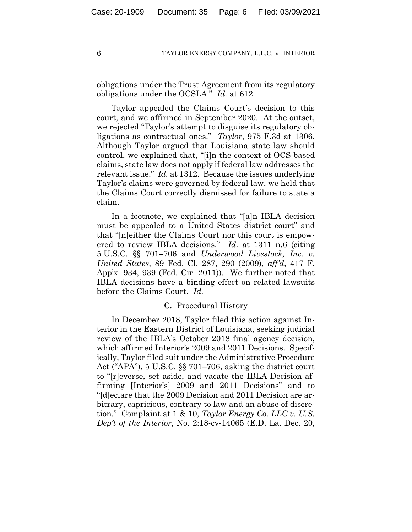obligations under the Trust Agreement from its regulatory obligations under the OCSLA." *Id.* at 612.

Taylor appealed the Claims Court's decision to this court, and we affirmed in September 2020. At the outset, we rejected "Taylor's attempt to disguise its regulatory obligations as contractual ones." *Taylor*, 975 F.3d at 1306. Although Taylor argued that Louisiana state law should control, we explained that, "[i]n the context of OCS-based claims, state law does not apply if federal law addresses the relevant issue." *Id.* at 1312. Because the issues underlying Taylor's claims were governed by federal law, we held that the Claims Court correctly dismissed for failure to state a claim.

In a footnote, we explained that "[a]n IBLA decision must be appealed to a United States district court" and that "[n]either the Claims Court nor this court is empowered to review IBLA decisions." *Id.* at 1311 n.6 (citing 5 U.S.C. §§ 701–706 and *Underwood Livestock, Inc. v. United States*, 89 Fed. Cl. 287, 290 (2009), *aff'd*, 417 F. App'x. 934, 939 (Fed. Cir. 2011)). We further noted that IBLA decisions have a binding effect on related lawsuits before the Claims Court. *Id.*

## C. Procedural History

In December 2018, Taylor filed this action against Interior in the Eastern District of Louisiana, seeking judicial review of the IBLA's October 2018 final agency decision, which affirmed Interior's 2009 and 2011 Decisions. Specifically, Taylor filed suit under the Administrative Procedure Act ("APA"), 5 U.S.C. §§ 701–706, asking the district court to "[r]everse, set aside, and vacate the IBLA Decision affirming [Interior's] 2009 and 2011 Decisions" and to "[d]eclare that the 2009 Decision and 2011 Decision are arbitrary, capricious, contrary to law and an abuse of discretion." Complaint at 1 & 10, *Taylor Energy Co. LLC v. U.S. Dep't of the Interior*, No. 2:18-cv-14065 (E.D. La. Dec. 20,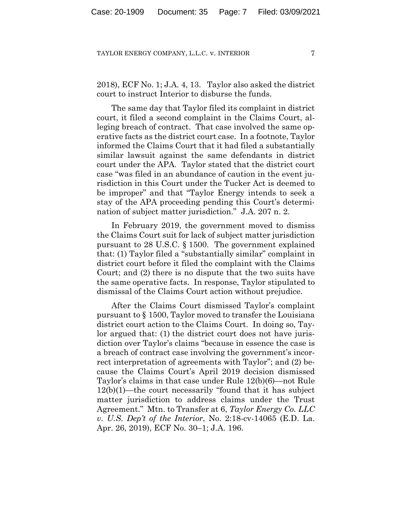2018), ECF No. 1; J.A. 4, 13. Taylor also asked the district court to instruct Interior to disburse the funds.

The same day that Taylor filed its complaint in district court, it filed a second complaint in the Claims Court, alleging breach of contract. That case involved the same operative facts as the district court case. In a footnote, Taylor informed the Claims Court that it had filed a substantially similar lawsuit against the same defendants in district court under the APA. Taylor stated that the district court case "was filed in an abundance of caution in the event jurisdiction in this Court under the Tucker Act is deemed to be improper" and that "Taylor Energy intends to seek a stay of the APA proceeding pending this Court's determination of subject matter jurisdiction." J.A. 207 n. 2.

In February 2019, the government moved to dismiss the Claims Court suit for lack of subject matter jurisdiction pursuant to 28 U.S.C. § 1500. The government explained that: (1) Taylor filed a "substantially similar" complaint in district court before it filed the complaint with the Claims Court; and (2) there is no dispute that the two suits have the same operative facts. In response, Taylor stipulated to dismissal of the Claims Court action without prejudice.

After the Claims Court dismissed Taylor's complaint pursuant to § 1500, Taylor moved to transfer the Louisiana district court action to the Claims Court. In doing so, Taylor argued that: (1) the district court does not have jurisdiction over Taylor's claims "because in essence the case is a breach of contract case involving the government's incorrect interpretation of agreements with Taylor"; and (2) because the Claims Court's April 2019 decision dismissed Taylor's claims in that case under Rule 12(b)(6)—not Rule 12(b)(1)—the court necessarily "found that it has subject matter jurisdiction to address claims under the Trust Agreement." Mtn. to Transfer at 6, *Taylor Energy Co. LLC v. U.S. Dep't of the Interior*, No. 2:18-cv-14065 (E.D. La. Apr. 26, 2019), ECF No. 30–1; J.A. 196.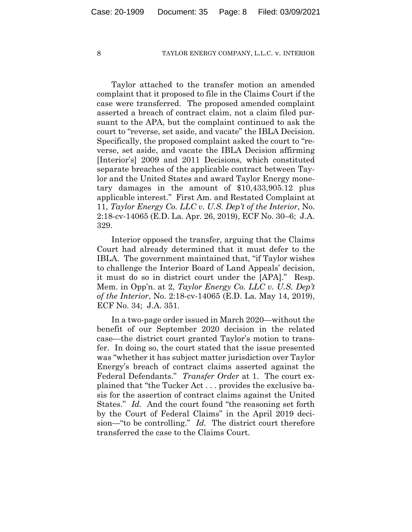Taylor attached to the transfer motion an amended complaint that it proposed to file in the Claims Court if the case were transferred. The proposed amended complaint asserted a breach of contract claim, not a claim filed pursuant to the APA, but the complaint continued to ask the court to "reverse, set aside, and vacate" the IBLA Decision. Specifically, the proposed complaint asked the court to "reverse, set aside, and vacate the IBLA Decision affirming [Interior's] 2009 and 2011 Decisions, which constituted separate breaches of the applicable contract between Taylor and the United States and award Taylor Energy monetary damages in the amount of \$10,433,905.12 plus applicable interest." First Am. and Restated Complaint at 11, *Taylor Energy Co. LLC v. U.S. Dep't of the Interior*, No. 2:18-cv-14065 (E.D. La. Apr. 26, 2019), ECF No. 30–6; J.A. 329.

Interior opposed the transfer, arguing that the Claims Court had already determined that it must defer to the IBLA. The government maintained that, "if Taylor wishes to challenge the Interior Board of Land Appeals' decision, it must do so in district court under the [APA]." Resp. Mem. in Opp'n. at 2, *Taylor Energy Co. LLC v. U.S. Dep't of the Interior*, No. 2:18-cv-14065 (E.D. La. May 14, 2019), ECF No. 34; J.A. 351.

In a two-page order issued in March 2020—without the benefit of our September 2020 decision in the related case—the district court granted Taylor's motion to transfer. In doing so, the court stated that the issue presented was "whether it has subject matter jurisdiction over Taylor Energy's breach of contract claims asserted against the Federal Defendants." *Transfer Order* at 1. The court explained that "the Tucker Act . . . provides the exclusive basis for the assertion of contract claims against the United States." *Id.* And the court found "the reasoning set forth by the Court of Federal Claims" in the April 2019 decision—"to be controlling." *Id.* The district court therefore transferred the case to the Claims Court.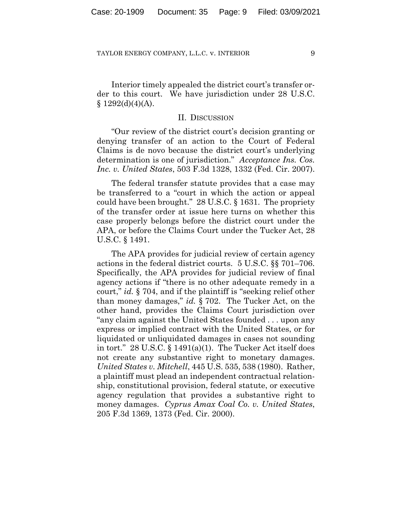Interior timely appealed the district court's transfer order to this court. We have jurisdiction under 28 U.S.C.  $§ 1292(d)(4)(A).$ 

## II. DISCUSSION

"Our review of the district court's decision granting or denying transfer of an action to the Court of Federal Claims is de novo because the district court's underlying determination is one of jurisdiction." *Acceptance Ins. Cos. Inc. v. United States*, 503 F.3d 1328, 1332 (Fed. Cir. 2007).

The federal transfer statute provides that a case may be transferred to a "court in which the action or appeal could have been brought." 28 U.S.C. § 1631. The propriety of the transfer order at issue here turns on whether this case properly belongs before the district court under the APA, or before the Claims Court under the Tucker Act, 28 U.S.C. § 1491.

The APA provides for judicial review of certain agency actions in the federal district courts. 5 U.S.C. §§ 701–706. Specifically, the APA provides for judicial review of final agency actions if "there is no other adequate remedy in a court," *id.* § 704, and if the plaintiff is "seeking relief other than money damages," *id.* § 702. The Tucker Act, on the other hand, provides the Claims Court jurisdiction over "any claim against the United States founded . . . upon any express or implied contract with the United States, or for liquidated or unliquidated damages in cases not sounding in tort." 28 U.S.C. § 1491(a)(1). The Tucker Act itself does not create any substantive right to monetary damages. *United States v. Mitchell*, 445 U.S. 535, 538 (1980). Rather, a plaintiff must plead an independent contractual relationship, constitutional provision, federal statute, or executive agency regulation that provides a substantive right to money damages. *Cyprus Amax Coal Co. v. United States*, 205 F.3d 1369, 1373 (Fed. Cir. 2000).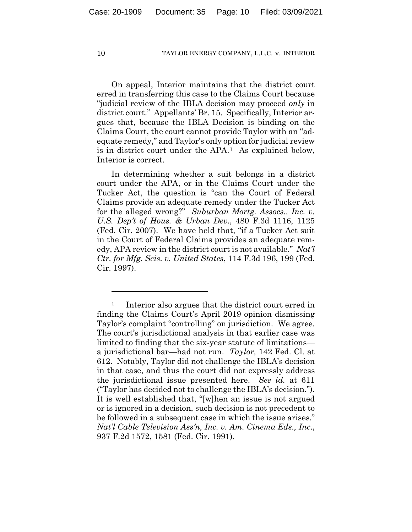On appeal, Interior maintains that the district court erred in transferring this case to the Claims Court because "judicial review of the IBLA decision may proceed *only* in district court." Appellants' Br. 15. Specifically, Interior argues that, because the IBLA Decision is binding on the Claims Court, the court cannot provide Taylor with an "adequate remedy," and Taylor's only option for judicial review is in district court under the APA.[1](#page-9-0) As explained below, Interior is correct.

In determining whether a suit belongs in a district court under the APA, or in the Claims Court under the Tucker Act, the question is "can the Court of Federal Claims provide an adequate remedy under the Tucker Act for the alleged wrong?" *Suburban Mortg. Assocs., Inc. v. U.S. Dep't of Hous. & Urban Dev*., 480 F.3d 1116, 1125 (Fed. Cir. 2007). We have held that, "if a Tucker Act suit in the Court of Federal Claims provides an adequate remedy, APA review in the district court is not available." *Nat'l Ctr. for Mfg. Scis. v. United States*, 114 F.3d 196, 199 (Fed. Cir. 1997).

<span id="page-9-0"></span><sup>&</sup>lt;sup>1</sup> Interior also argues that the district court erred in finding the Claims Court's April 2019 opinion dismissing Taylor's complaint "controlling" on jurisdiction. We agree. The court's jurisdictional analysis in that earlier case was limited to finding that the six-year statute of limitations a jurisdictional bar—had not run. *Taylor,* 142 Fed. Cl. at 612. Notably, Taylor did not challenge the IBLA's decision in that case, and thus the court did not expressly address the jurisdictional issue presented here. *See id.* at 611 ("Taylor has decided not to challenge the IBLA's decision."). It is well established that, "[w]hen an issue is not argued or is ignored in a decision, such decision is not precedent to be followed in a subsequent case in which the issue arises." *Nat'l Cable Television Ass'n, Inc. v. Am. Cinema Eds., Inc*., 937 F.2d 1572, 1581 (Fed. Cir. 1991).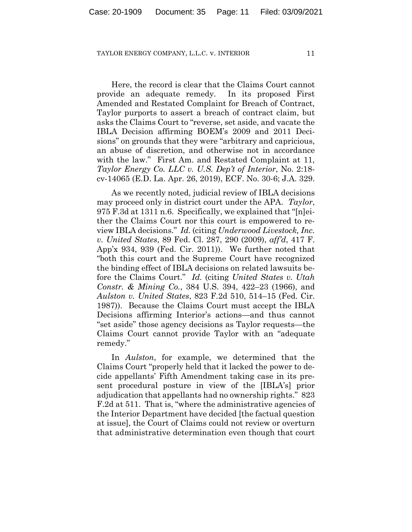Here, the record is clear that the Claims Court cannot provide an adequate remedy. In its proposed First Amended and Restated Complaint for Breach of Contract, Taylor purports to assert a breach of contract claim, but asks the Claims Court to "reverse, set aside, and vacate the IBLA Decision affirming BOEM's 2009 and 2011 Decisions" on grounds that they were "arbitrary and capricious, an abuse of discretion, and otherwise not in accordance with the law." First Am. and Restated Complaint at 11, *Taylor Energy Co. LLC v. U.S. Dep't of Interior*, No. 2:18 cv-14065 (E.D. La. Apr. 26, 2019), ECF. No. 30-6; J.A. 329.

As we recently noted, judicial review of IBLA decisions may proceed only in district court under the APA. *Taylor*, 975 F.3d at 1311 n.6. Specifically, we explained that "[n]either the Claims Court nor this court is empowered to review IBLA decisions." *Id.* (citing *Underwood Livestock, Inc. v. United States*, 89 Fed. Cl. 287, 290 (2009), *aff'd*, 417 F. App'x 934, 939 (Fed. Cir. 2011)). We further noted that "both this court and the Supreme Court have recognized the binding effect of IBLA decisions on related lawsuits before the Claims Court." *Id.* (citing *United States v. Utah Constr. & Mining Co.*, 384 U.S. 394, 422–23 (1966), and *Aulston v. United States*, 823 F.2d 510, 514–15 (Fed. Cir. 1987)). Because the Claims Court must accept the IBLA Decisions affirming Interior's actions—and thus cannot "set aside" those agency decisions as Taylor requests—the Claims Court cannot provide Taylor with an "adequate remedy."

In *Aulston*, for example, we determined that the Claims Court "properly held that it lacked the power to decide appellants' Fifth Amendment taking case in its present procedural posture in view of the [IBLA's] prior adjudication that appellants had no ownership rights." 823 F.2d at 511. That is, "where the administrative agencies of the Interior Department have decided [the factual question at issue], the Court of Claims could not review or overturn that administrative determination even though that court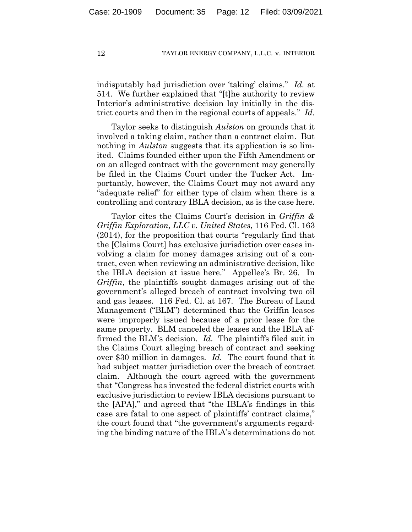indisputably had jurisdiction over 'taking' claims." *Id.* at 514. We further explained that "[t]he authority to review Interior's administrative decision lay initially in the district courts and then in the regional courts of appeals." *Id.*

Taylor seeks to distinguish *Aulston* on grounds that it involved a taking claim, rather than a contract claim. But nothing in *Aulston* suggests that its application is so limited. Claims founded either upon the Fifth Amendment or on an alleged contract with the government may generally be filed in the Claims Court under the Tucker Act. Importantly, however, the Claims Court may not award any "adequate relief" for either type of claim when there is a controlling and contrary IBLA decision, as is the case here.

Taylor cites the Claims Court's decision in *Griffin & Griffin Exploration, LLC v. United States*, 116 Fed. Cl. 163 (2014), for the proposition that courts "regularly find that the [Claims Court] has exclusive jurisdiction over cases involving a claim for money damages arising out of a contract, even when reviewing an administrative decision, like the IBLA decision at issue here." Appellee's Br. 26. In *Griffin*, the plaintiffs sought damages arising out of the government's alleged breach of contract involving two oil and gas leases. 116 Fed. Cl. at 167. The Bureau of Land Management ("BLM") determined that the Griffin leases were improperly issued because of a prior lease for the same property. BLM canceled the leases and the IBLA affirmed the BLM's decision. *Id.* The plaintiffs filed suit in the Claims Court alleging breach of contract and seeking over \$30 million in damages. *Id.* The court found that it had subject matter jurisdiction over the breach of contract claim. Although the court agreed with the government that "Congress has invested the federal district courts with exclusive jurisdiction to review IBLA decisions pursuant to the [APA]," and agreed that "the IBLA's findings in this case are fatal to one aspect of plaintiffs' contract claims," the court found that "the government's arguments regarding the binding nature of the IBLA's determinations do not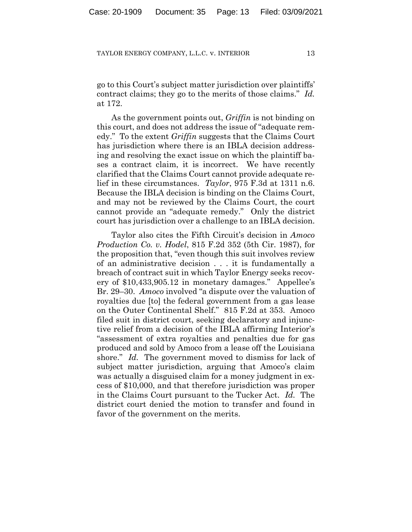go to this Court's subject matter jurisdiction over plaintiffs' contract claims; they go to the merits of those claims." *Id.* at 172.

As the government points out, *Griffin* is not binding on this court, and does not address the issue of "adequate remedy." To the extent *Griffin* suggests that the Claims Court has jurisdiction where there is an IBLA decision addressing and resolving the exact issue on which the plaintiff bases a contract claim, it is incorrect. We have recently clarified that the Claims Court cannot provide adequate relief in these circumstances. *Taylor*, 975 F.3d at 1311 n.6. Because the IBLA decision is binding on the Claims Court, and may not be reviewed by the Claims Court, the court cannot provide an "adequate remedy." Only the district court has jurisdiction over a challenge to an IBLA decision.

Taylor also cites the Fifth Circuit's decision in *Amoco Production Co. v. Hodel*, 815 F.2d 352 (5th Cir. 1987), for the proposition that, "even though this suit involves review of an administrative decision . . . it is fundamentally a breach of contract suit in which Taylor Energy seeks recovery of \$10,433,905.12 in monetary damages." Appellee's Br. 29–30. *Amoco* involved "a dispute over the valuation of royalties due [to] the federal government from a gas lease on the Outer Continental Shelf." 815 F.2d at 353. Amoco filed suit in district court, seeking declaratory and injunctive relief from a decision of the IBLA affirming Interior's "assessment of extra royalties and penalties due for gas produced and sold by Amoco from a lease off the Louisiana shore." *Id.* The government moved to dismiss for lack of subject matter jurisdiction, arguing that Amoco's claim was actually a disguised claim for a money judgment in excess of \$10,000, and that therefore jurisdiction was proper in the Claims Court pursuant to the Tucker Act. *Id.* The district court denied the motion to transfer and found in favor of the government on the merits.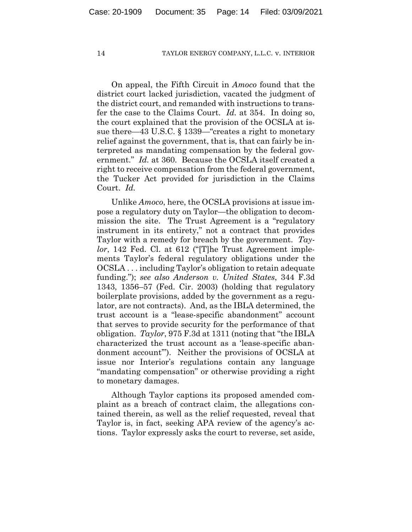On appeal, the Fifth Circuit in *Amoco* found that the district court lacked jurisdiction, vacated the judgment of the district court, and remanded with instructions to transfer the case to the Claims Court. *Id.* at 354. In doing so, the court explained that the provision of the OCSLA at issue there—43 U.S.C. § 1339—"creates a right to monetary relief against the government, that is, that can fairly be interpreted as mandating compensation by the federal government." *Id.* at 360. Because the OCSLA itself created a right to receive compensation from the federal government, the Tucker Act provided for jurisdiction in the Claims Court. *Id.*

Unlike *Amoco*, here, the OCSLA provisions at issue impose a regulatory duty on Taylor—the obligation to decommission the site. The Trust Agreement is a "regulatory instrument in its entirety," not a contract that provides Taylor with a remedy for breach by the government. *Taylor*, 142 Fed. Cl. at 612 ("[T]he Trust Agreement implements Taylor's federal regulatory obligations under the OCSLA . . . including Taylor's obligation to retain adequate funding."); *see also Anderson v. United States*, 344 F.3d 1343, 1356–57 (Fed. Cir. 2003) (holding that regulatory boilerplate provisions, added by the government as a regulator, are not contracts). And, as the IBLA determined, the trust account is a "lease-specific abandonment" account that serves to provide security for the performance of that obligation. *Taylor*, 975 F.3d at 1311 (noting that "the IBLA characterized the trust account as a 'lease-specific abandonment account'"). Neither the provisions of OCSLA at issue nor Interior's regulations contain any language "mandating compensation" or otherwise providing a right to monetary damages.

Although Taylor captions its proposed amended complaint as a breach of contract claim, the allegations contained therein, as well as the relief requested, reveal that Taylor is, in fact, seeking APA review of the agency's actions. Taylor expressly asks the court to reverse, set aside,